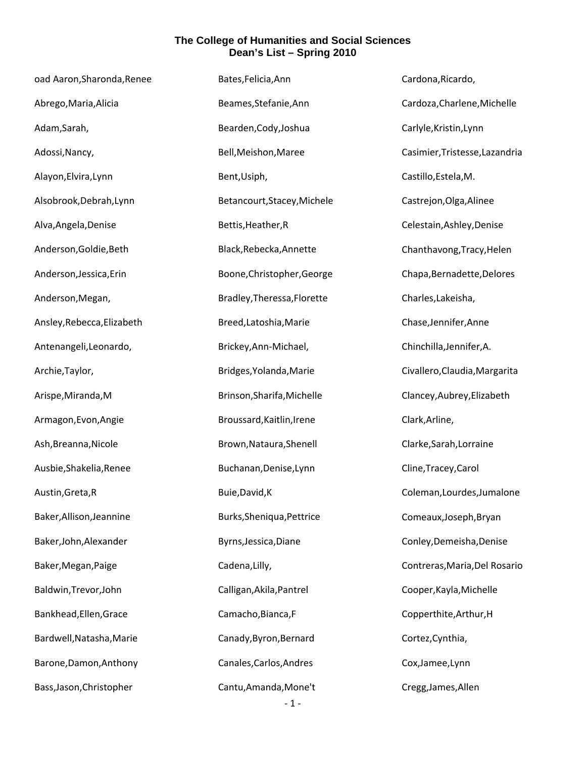| oad Aaron, Sharonda, Renee | Bates, Felicia, Ann         | Cardona, Ricardo,              |
|----------------------------|-----------------------------|--------------------------------|
| Abrego, Maria, Alicia      | Beames, Stefanie, Ann       | Cardoza, Charlene, Michelle    |
| Adam, Sarah,               | Bearden, Cody, Joshua       | Carlyle, Kristin, Lynn         |
| Adossi, Nancy,             | Bell, Meishon, Maree        | Casimier, Tristesse, Lazandria |
| Alayon, Elvira, Lynn       | Bent, Usiph,                | Castillo, Estela, M.           |
| Alsobrook, Debrah, Lynn    | Betancourt, Stacey, Michele | Castrejon, Olga, Alinee        |
| Alva, Angela, Denise       | Bettis, Heather, R          | Celestain, Ashley, Denise      |
| Anderson, Goldie, Beth     | Black, Rebecka, Annette     | Chanthavong, Tracy, Helen      |
| Anderson, Jessica, Erin    | Boone, Christopher, George  | Chapa, Bernadette, Delores     |
| Anderson, Megan,           | Bradley, Theressa, Florette | Charles, Lakeisha,             |
| Ansley, Rebecca, Elizabeth | Breed, Latoshia, Marie      | Chase, Jennifer, Anne          |
| Antenangeli, Leonardo,     | Brickey, Ann-Michael,       | Chinchilla, Jennifer, A.       |
| Archie, Taylor,            | Bridges, Yolanda, Marie     | Civallero, Claudia, Margarita  |
| Arispe, Miranda, M         | Brinson, Sharifa, Michelle  | Clancey, Aubrey, Elizabeth     |
| Armagon, Evon, Angie       | Broussard, Kaitlin, Irene   | Clark, Arline,                 |
| Ash, Breanna, Nicole       | Brown, Nataura, Shenell     | Clarke, Sarah, Lorraine        |
| Ausbie, Shakelia, Renee    | Buchanan, Denise, Lynn      | Cline, Tracey, Carol           |
| Austin, Greta, R           | Buie, David, K              | Coleman, Lourdes, Jumalone     |
| Baker, Allison, Jeannine   | Burks, Sheniqua, Pettrice   | Comeaux, Joseph, Bryan         |
| Baker, John, Alexander     | Byrns, Jessica, Diane       | Conley, Demeisha, Denise       |
| Baker, Megan, Paige        | Cadena, Lilly,              | Contreras, Maria, Del Rosario  |
| Baldwin, Trevor, John      | Calligan, Akila, Pantrel    | Cooper, Kayla, Michelle        |
| Bankhead, Ellen, Grace     | Camacho, Bianca, F          | Copperthite, Arthur, H         |
| Bardwell, Natasha, Marie   | Canady, Byron, Bernard      | Cortez, Cynthia,               |
| Barone, Damon, Anthony     | Canales, Carlos, Andres     | Cox, Jamee, Lynn               |
| Bass, Jason, Christopher   | Cantu, Amanda, Mone't       | Cregg, James, Allen            |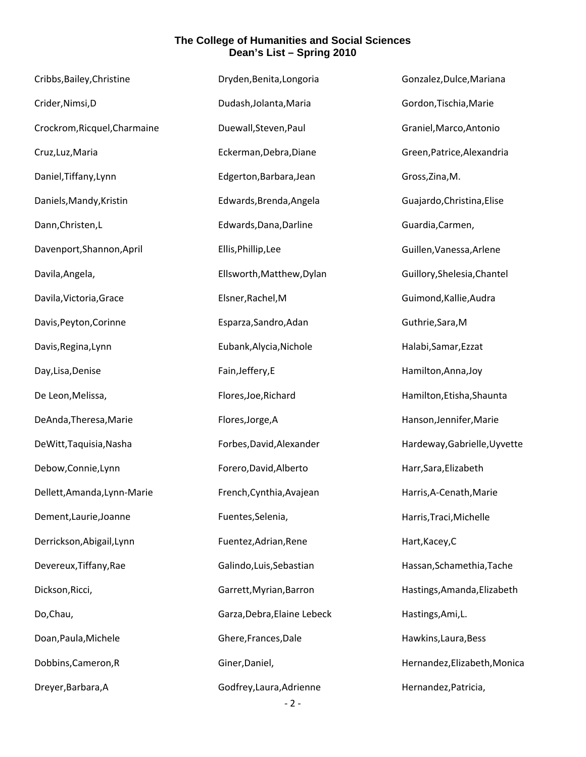| Cribbs, Bailey, Christine    | Dryden, Benita, Longoria    | Gonzalez, Dulce, Mariana     |
|------------------------------|-----------------------------|------------------------------|
| Crider, Nimsi, D             | Dudash, Jolanta, Maria      | Gordon, Tischia, Marie       |
| Crockrom, Ricquel, Charmaine | Duewall, Steven, Paul       | Graniel, Marco, Antonio      |
| Cruz, Luz, Maria             | Eckerman, Debra, Diane      | Green, Patrice, Alexandria   |
| Daniel, Tiffany, Lynn        | Edgerton, Barbara, Jean     | Gross, Zina, M.              |
| Daniels, Mandy, Kristin      | Edwards, Brenda, Angela     | Guajardo, Christina, Elise   |
| Dann, Christen, L            | Edwards, Dana, Darline      | Guardia, Carmen,             |
| Davenport, Shannon, April    | Ellis, Phillip, Lee         | Guillen, Vanessa, Arlene     |
| Davila, Angela,              | Ellsworth, Matthew, Dylan   | Guillory, Shelesia, Chantel  |
| Davila, Victoria, Grace      | Elsner, Rachel, M           | Guimond, Kallie, Audra       |
| Davis, Peyton, Corinne       | Esparza, Sandro, Adan       | Guthrie, Sara, M             |
| Davis, Regina, Lynn          | Eubank, Alycia, Nichole     | Halabi, Samar, Ezzat         |
| Day, Lisa, Denise            | Fain, Jeffery, E            | Hamilton, Anna, Joy          |
| De Leon, Melissa,            | Flores, Joe, Richard        | Hamilton, Etisha, Shaunta    |
| DeAnda, Theresa, Marie       | Flores, Jorge, A            | Hanson, Jennifer, Marie      |
| DeWitt, Taquisia, Nasha      | Forbes, David, Alexander    | Hardeway, Gabrielle, Uyvette |
| Debow, Connie, Lynn          | Forero, David, Alberto      | Harr, Sara, Elizabeth        |
| Dellett, Amanda, Lynn-Marie  | French, Cynthia, Avajean    | Harris, A-Cenath, Marie      |
| Dement, Laurie, Joanne       | Fuentes, Selenia,           | Harris, Traci, Michelle      |
| Derrickson, Abigail, Lynn    | Fuentez, Adrian, Rene       | Hart, Kacey, C               |
| Devereux, Tiffany, Rae       | Galindo, Luis, Sebastian    | Hassan, Schamethia, Tache    |
| Dickson, Ricci,              | Garrett, Myrian, Barron     | Hastings, Amanda, Elizabeth  |
| Do, Chau,                    | Garza, Debra, Elaine Lebeck | Hastings, Ami, L.            |
| Doan, Paula, Michele         | Ghere, Frances, Dale        | Hawkins, Laura, Bess         |
| Dobbins, Cameron, R          | Giner, Daniel,              | Hernandez, Elizabeth, Monica |
| Dreyer, Barbara, A           | Godfrey, Laura, Adrienne    | Hernandez, Patricia,         |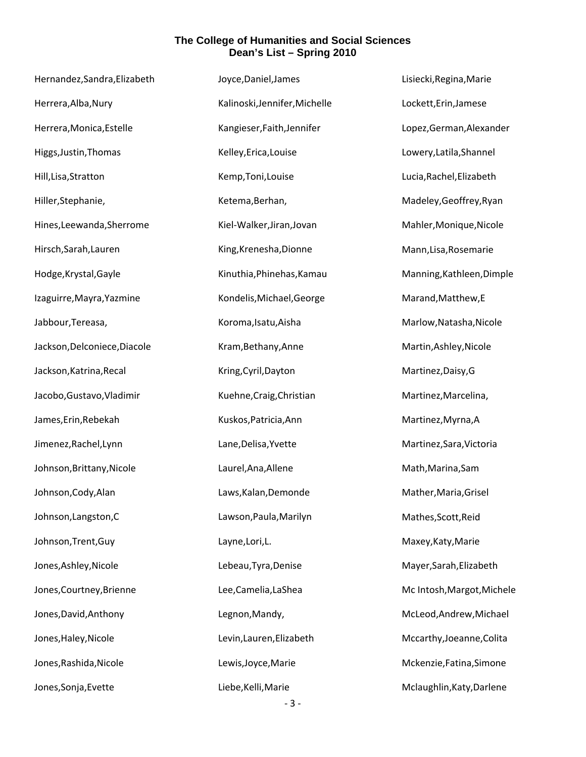| Hernandez, Sandra, Elizabeth | Joyce, Daniel, James          | Lisiecki, Regina, Marie    |
|------------------------------|-------------------------------|----------------------------|
| Herrera, Alba, Nury          | Kalinoski, Jennifer, Michelle | Lockett, Erin, Jamese      |
| Herrera, Monica, Estelle     | Kangieser, Faith, Jennifer    | Lopez, German, Alexander   |
| Higgs, Justin, Thomas        | Kelley, Erica, Louise         | Lowery, Latila, Shannel    |
| Hill, Lisa, Stratton         | Kemp, Toni, Louise            | Lucia, Rachel, Elizabeth   |
| Hiller, Stephanie,           | Ketema, Berhan,               | Madeley, Geoffrey, Ryan    |
| Hines, Leewanda, Sherrome    | Kiel-Walker, Jiran, Jovan     | Mahler, Monique, Nicole    |
| Hirsch, Sarah, Lauren        | King, Krenesha, Dionne        | Mann, Lisa, Rosemarie      |
| Hodge, Krystal, Gayle        | Kinuthia, Phinehas, Kamau     | Manning, Kathleen, Dimple  |
| Izaguirre, Mayra, Yazmine    | Kondelis, Michael, George     | Marand, Matthew, E         |
| Jabbour, Tereasa,            | Koroma, Isatu, Aisha          | Marlow, Natasha, Nicole    |
| Jackson, Delconiece, Diacole | Kram, Bethany, Anne           | Martin, Ashley, Nicole     |
| Jackson, Katrina, Recal      | Kring, Cyril, Dayton          | Martinez, Daisy, G         |
| Jacobo, Gustavo, Vladimir    | Kuehne, Craig, Christian      | Martinez, Marcelina,       |
| James, Erin, Rebekah         | Kuskos, Patricia, Ann         | Martinez, Myrna, A         |
| Jimenez, Rachel, Lynn        | Lane, Delisa, Yvette          | Martinez, Sara, Victoria   |
| Johnson, Brittany, Nicole    | Laurel, Ana, Allene           | Math, Marina, Sam          |
| Johnson, Cody, Alan          | Laws, Kalan, Demonde          | Mather, Maria, Grisel      |
| Johnson, Langston, C         | Lawson, Paula, Marilyn        | Mathes, Scott, Reid        |
| Johnson, Trent, Guy          | Layne, Lori, L.               | Maxey, Katy, Marie         |
| Jones, Ashley, Nicole        | Lebeau, Tyra, Denise          | Mayer, Sarah, Elizabeth    |
| Jones, Courtney, Brienne     | Lee, Camelia, LaShea          | Mc Intosh, Margot, Michele |
| Jones, David, Anthony        | Legnon, Mandy,                | McLeod, Andrew, Michael    |
| Jones, Haley, Nicole         | Levin, Lauren, Elizabeth      | Mccarthy, Joeanne, Colita  |
| Jones, Rashida, Nicole       | Lewis, Joyce, Marie           | Mckenzie, Fatina, Simone   |
| Jones, Sonja, Evette         | Liebe, Kelli, Marie           | Mclaughlin, Katy, Darlene  |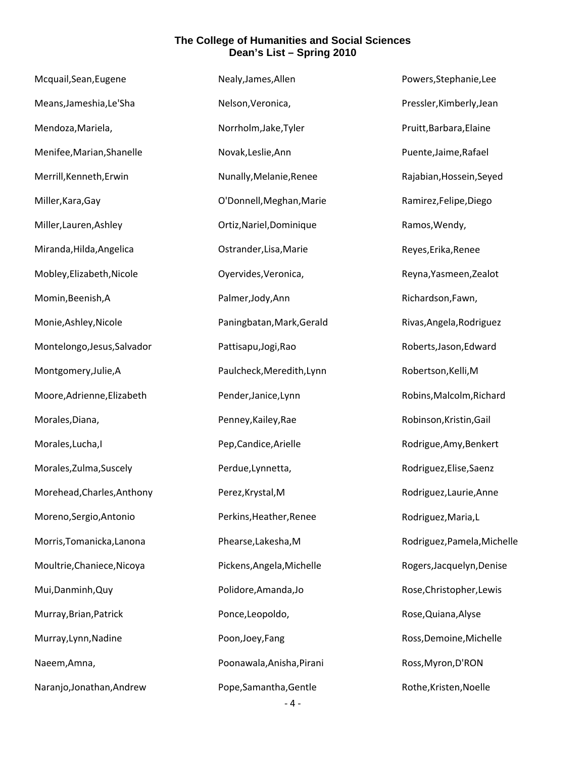| Mcquail, Sean, Eugene       | Nealy, James, Allen       | Powers, Stephanie, Lee      |
|-----------------------------|---------------------------|-----------------------------|
| Means, Jameshia, Le'Sha     | Nelson, Veronica,         | Pressler, Kimberly, Jean    |
| Mendoza, Mariela,           | Norrholm, Jake, Tyler     | Pruitt, Barbara, Elaine     |
| Menifee, Marian, Shanelle   | Novak, Leslie, Ann        | Puente, Jaime, Rafael       |
| Merrill, Kenneth, Erwin     | Nunally, Melanie, Renee   | Rajabian, Hossein, Seyed    |
| Miller, Kara, Gay           | O'Donnell, Meghan, Marie  | Ramirez, Felipe, Diego      |
| Miller, Lauren, Ashley      | Ortiz, Nariel, Dominique  | Ramos, Wendy,               |
| Miranda, Hilda, Angelica    | Ostrander, Lisa, Marie    | Reyes, Erika, Renee         |
| Mobley, Elizabeth, Nicole   | Oyervides, Veronica,      | Reyna, Yasmeen, Zealot      |
| Momin, Beenish, A           | Palmer, Jody, Ann         | Richardson, Fawn,           |
| Monie, Ashley, Nicole       | Paningbatan, Mark, Gerald | Rivas, Angela, Rodriguez    |
| Montelongo, Jesus, Salvador | Pattisapu, Jogi, Rao      | Roberts, Jason, Edward      |
| Montgomery, Julie, A        | Paulcheck, Meredith, Lynn | Robertson, Kelli, M         |
| Moore, Adrienne, Elizabeth  | Pender, Janice, Lynn      | Robins, Malcolm, Richard    |
| Morales, Diana,             | Penney, Kailey, Rae       | Robinson, Kristin, Gail     |
| Morales, Lucha, I           | Pep, Candice, Arielle     | Rodrigue, Amy, Benkert      |
| Morales, Zulma, Suscely     | Perdue, Lynnetta,         | Rodriguez, Elise, Saenz     |
| Morehead, Charles, Anthony  | Perez, Krystal, M         | Rodriguez, Laurie, Anne     |
| Moreno, Sergio, Antonio     | Perkins, Heather, Renee   | Rodriguez, Maria, L         |
| Morris, Tomanicka, Lanona   | Phearse, Lakesha, M       | Rodriguez, Pamela, Michelle |
| Moultrie, Chaniece, Nicoya  | Pickens, Angela, Michelle | Rogers, Jacquelyn, Denise   |
| Mui, Danminh, Quy           | Polidore, Amanda, Jo      | Rose, Christopher, Lewis    |
| Murray, Brian, Patrick      | Ponce, Leopoldo,          | Rose, Quiana, Alyse         |
| Murray, Lynn, Nadine        | Poon, Joey, Fang          | Ross, Demoine, Michelle     |
| Naeem, Amna,                | Poonawala, Anisha, Pirani | Ross, Myron, D'RON          |
| Naranjo, Jonathan, Andrew   | Pope, Samantha, Gentle    | Rothe, Kristen, Noelle      |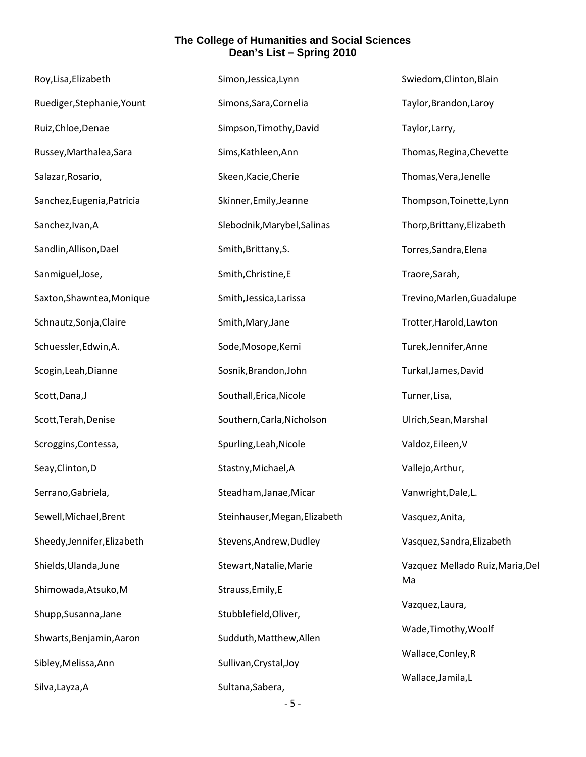| Roy, Lisa, Elizabeth        | Simon, Jessica, Lynn          | Swiedom, Clinton, Blain          |
|-----------------------------|-------------------------------|----------------------------------|
| Ruediger, Stephanie, Yount  | Simons, Sara, Cornelia        | Taylor, Brandon, Laroy           |
| Ruiz, Chloe, Denae          | Simpson, Timothy, David       | Taylor, Larry,                   |
| Russey, Marthalea, Sara     | Sims, Kathleen, Ann           | Thomas, Regina, Chevette         |
| Salazar, Rosario,           | Skeen, Kacie, Cherie          | Thomas, Vera, Jenelle            |
| Sanchez, Eugenia, Patricia  | Skinner, Emily, Jeanne        | Thompson, Toinette, Lynn         |
| Sanchez, Ivan, A            | Slebodnik, Marybel, Salinas   | Thorp, Brittany, Elizabeth       |
| Sandlin, Allison, Dael      | Smith, Brittany, S.           | Torres, Sandra, Elena            |
| Sanmiguel, Jose,            | Smith, Christine, E           | Traore, Sarah,                   |
| Saxton, Shawntea, Monique   | Smith, Jessica, Larissa       | Trevino, Marlen, Guadalupe       |
| Schnautz, Sonja, Claire     | Smith, Mary, Jane             | Trotter, Harold, Lawton          |
| Schuessler, Edwin, A.       | Sode, Mosope, Kemi            | Turek, Jennifer, Anne            |
| Scogin, Leah, Dianne        | Sosnik, Brandon, John         | Turkal, James, David             |
| Scott, Dana, J              | Southall, Erica, Nicole       | Turner, Lisa,                    |
| Scott, Terah, Denise        | Southern, Carla, Nicholson    | Ulrich, Sean, Marshal            |
| Scroggins, Contessa,        | Spurling, Leah, Nicole        | Valdoz, Eileen, V                |
| Seay, Clinton, D            | Stastny, Michael, A           | Vallejo, Arthur,                 |
| Serrano, Gabriela,          | Steadham, Janae, Micar        | Vanwright, Dale, L.              |
| Sewell, Michael, Brent      | Steinhauser, Megan, Elizabeth | Vasquez, Anita,                  |
| Sheedy, Jennifer, Elizabeth | Stevens, Andrew, Dudley       | Vasquez, Sandra, Elizabeth       |
| Shields, Ulanda, June       | Stewart, Natalie, Marie       | Vazquez Mellado Ruiz, Maria, Del |
| Shimowada, Atsuko, M        | Strauss, Emily, E             | Ma                               |
| Shupp, Susanna, Jane        | Stubblefield, Oliver,         | Vazquez, Laura,                  |
| Shwarts, Benjamin, Aaron    | Sudduth, Matthew, Allen       | Wade, Timothy, Woolf             |
| Sibley, Melissa, Ann        | Sullivan, Crystal, Joy        | Wallace, Conley, R               |
| Silva, Layza, A             | Sultana, Sabera,              | Wallace, Jamila, L               |